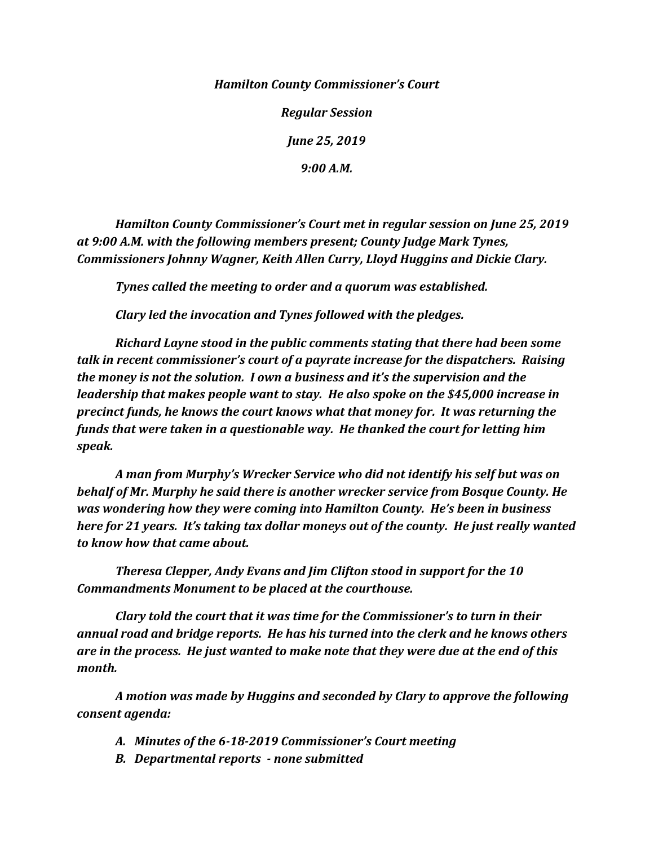*Hamilton County Commissioner's Court*

*Regular Session June 25, 2019*

*9:00 A.M.*

*Hamilton County Commissioner's Court met in regular session on June 25, 2019 at 9:00 A.M. with the following members present; County Judge Mark Tynes, Commissioners Johnny Wagner, Keith Allen Curry, Lloyd Huggins and Dickie Clary.*

*Tynes called the meeting to order and a quorum was established.*

*Clary led the invocation and Tynes followed with the pledges.*

*Richard Layne stood in the public comments stating that there had been some talk in recent commissioner's court of a payrate increase for the dispatchers. Raising the money is not the solution. I own a business and it's the supervision and the leadership that makes people want to stay. He also spoke on the \$45,000 increase in precinct funds, he knows the court knows what that money for. It was returning the funds that were taken in a questionable way. He thanked the court for letting him speak.*

*A man from Murphy's Wrecker Service who did not identify his self but was on behalf of Mr. Murphy he said there is another wrecker service from Bosque County. He was wondering how they were coming into Hamilton County. He's been in business here for 21 years. It's taking tax dollar moneys out of the county. He just really wanted to know how that came about.*

*Theresa Clepper, Andy Evans and Jim Clifton stood in support for the 10 Commandments Monument to be placed at the courthouse.*

*Clary told the court that it was time for the Commissioner's to turn in their annual road and bridge reports. He has his turned into the clerk and he knows others are in the process. He just wanted to make note that they were due at the end of this month.*

*A motion was made by Huggins and seconded by Clary to approve the following consent agenda:*

- *A. Minutes of the 6-18-2019 Commissioner's Court meeting*
- *B. Departmental reports - none submitted*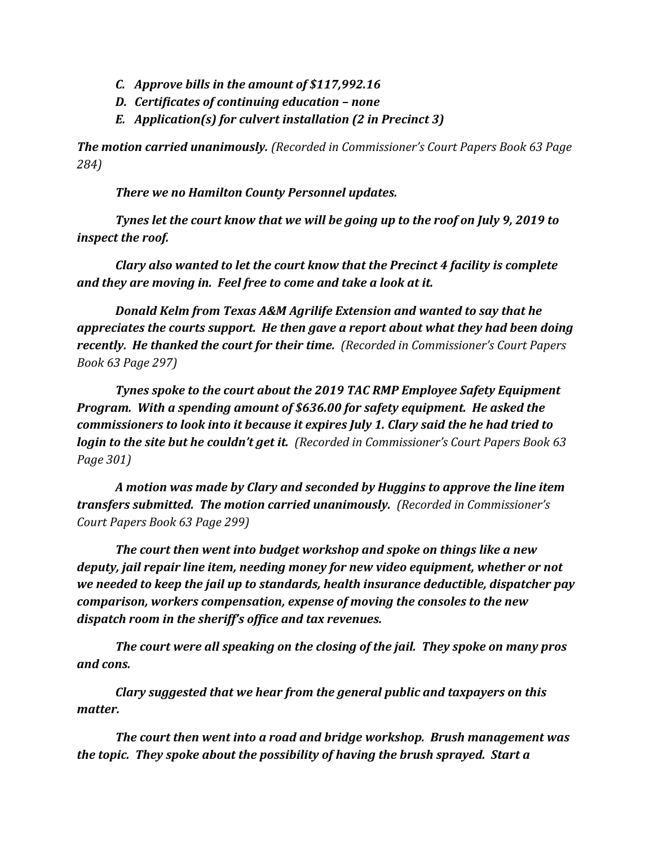- *C. Approve bills in the amount of \$117,992.16*
- *D. Certificates of continuing education – none*
- *E. Application(s) for culvert installation (2 in Precinct 3)*

*The motion carried unanimously. (Recorded in Commissioner's Court Papers Book 63 Page 284)*

*There we no Hamilton County Personnel updates.*

*Tynes let the court know that we will be going up to the roof on July 9, 2019 to inspect the roof.* 

*Clary also wanted to let the court know that the Precinct 4 facility is complete and they are moving in. Feel free to come and take a look at it.*

*Donald Kelm from Texas A&M Agrilife Extension and wanted to say that he appreciates the courts support. He then gave a report about what they had been doing recently. He thanked the court for their time. (Recorded in Commissioner's Court Papers Book 63 Page 297)*

*Tynes spoke to the court about the 2019 TAC RMP Employee Safety Equipment Program. With a spending amount of \$636.00 for safety equipment. He asked the commissioners to look into it because it expires July 1. Clary said the he had tried to login to the site but he couldn't get it. (Recorded in Commissioner's Court Papers Book 63 Page 301)*

*A motion was made by Clary and seconded by Huggins to approve the line item transfers submitted. The motion carried unanimously. (Recorded in Commissioner's Court Papers Book 63 Page 299)*

*The court then went into budget workshop and spoke on things like a new deputy, jail repair line item, needing money for new video equipment, whether or not we needed to keep the jail up to standards, health insurance deductible, dispatcher pay comparison, workers compensation, expense of moving the consoles to the new dispatch room in the sheriff's office and tax revenues.*

*The court were all speaking on the closing of the jail. They spoke on many pros and cons.*

*Clary suggested that we hear from the general public and taxpayers on this matter.*

*The court then went into a road and bridge workshop. Brush management was the topic. They spoke about the possibility of having the brush sprayed. Start a*